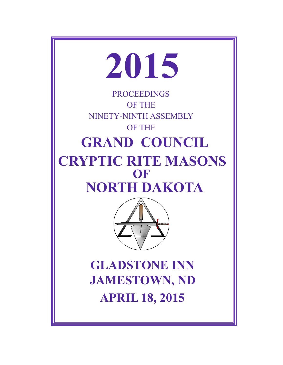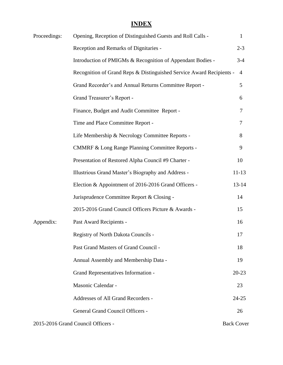# **INDEX**

| Proceedings: | Opening, Reception of Distinguished Guests and Roll Calls -          | $\mathbf{1}$      |
|--------------|----------------------------------------------------------------------|-------------------|
|              | Reception and Remarks of Dignitaries -                               | $2 - 3$           |
|              | Introduction of PMIGMs & Recognition of Appendant Bodies -           | $3-4$             |
|              | Recognition of Grand Reps & Distinguished Service Award Recipients - | $\overline{4}$    |
|              | Grand Recorder's and Annual Returns Committee Report -               | 5                 |
|              | Grand Treasurer's Report -                                           | 6                 |
|              | Finance, Budget and Audit Committee Report -                         | 7                 |
|              | Time and Place Committee Report -                                    | 7                 |
|              | Life Membership & Necrology Committee Reports -                      | 8                 |
|              | <b>CMMRF &amp; Long Range Planning Committee Reports -</b>           | 9                 |
|              | Presentation of Restored Alpha Council #9 Charter -                  | 10                |
|              | Illustrious Grand Master's Biography and Address -                   | $11 - 13$         |
|              | Election & Appointment of 2016-2016 Grand Officers -                 | $13 - 14$         |
|              | Jurisprudence Committee Report & Closing -                           | 14                |
|              | 2015-2016 Grand Council Officers Picture & Awards -                  | 15                |
| Appendix:    | Past Award Recipients -                                              | 16                |
|              | Registry of North Dakota Councils -                                  | 17                |
|              | Past Grand Masters of Grand Council -                                | 18                |
|              | Annual Assembly and Membership Data -                                | 19                |
|              | <b>Grand Representatives Information -</b>                           | $20 - 23$         |
|              | Masonic Calendar -                                                   | 23                |
|              | Addresses of All Grand Recorders -                                   | $24 - 25$         |
|              | <b>General Grand Council Officers -</b>                              | 26                |
|              | 2015-2016 Grand Council Officers -                                   | <b>Back Cover</b> |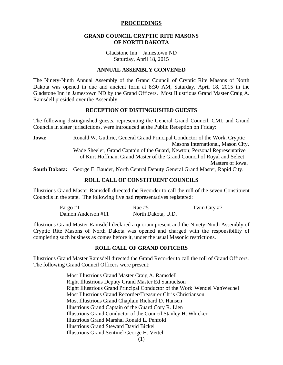#### **PROCEEDINGS**

#### **GRAND COUNCIL CRYPTIC RITE MASONS OF NORTH DAKOTA**

Gladstone Inn – Jamestown ND Saturday, April 18, 2015

#### **ANNUAL ASSEMBLY CONVENED**

The Ninety-Ninth Annual Assembly of the Grand Council of Cryptic Rite Masons of North Dakota was opened in due and ancient form at 8:30 AM, Saturday, April 18, 2015 in the Gladstone Inn in Jamestown ND by the Grand Officers. Most Illustrious Grand Master Craig A. Ramsdell presided over the Assembly.

#### **RECEPTION OF DISTINGUISHED GUESTS**

The following distinguished guests, representing the General Grand Council, CMI, and Grand Councils in sister jurisdictions, were introduced at the Public Reception on Friday:

**Iowa:** Ronald W. Guthrie, General Grand Principal Conductor of the Work, Cryptic Masons International, Mason City. Wade Sheeler, Grand Captain of the Guard, Newton; Personal Representative of Kurt Hoffman, Grand Master of the Grand Council of Royal and Select Masters of Iowa.

**South Dakota:** George E. Bauder, North Central Deputy General Grand Master, Rapid City.

## **ROLL CALL OF CONSTITUENT COUNCILS**

Illustrious Grand Master Ramsdell directed the Recorder to call the roll of the seven Constituent Councils in the state. The following five had representatives registered:

| Fargo #1           | $\text{Rae} \#5$   | Twin City #7 |
|--------------------|--------------------|--------------|
| Damon Anderson #11 | North Dakota, U.D. |              |

Illustrious Grand Master Ramsdell declared a quorum present and the Ninety-Ninth Assembly of Cryptic Rite Masons of North Dakota was opened and charged with the responsibility of completing such business as comes before it, under the usual Masonic restrictions.

#### **ROLL CALL OF GRAND OFFICERS**

Illustrious Grand Master Ramsdell directed the Grand Recorder to call the roll of Grand Officers. The following Grand Council Officers were present:

> Most Illustrious Grand Master Craig A. Ramsdell Right Illustrious Deputy Grand Master Ed Samuelson Right Illustrious Grand Principal Conductor of the Work Wendel VanWechel Most Illustrious Grand Recorder/Treasurer Chris Christianson Most Illustrious Grand Chaplain Richard D. Hansen Illustrious Grand Captain of the Guard Cory R. Lien Illustrious Grand Conductor of the Council Stanley H. Whicker Illustrious Grand Marshal Ronald L. Penfold Illustrious Grand Steward David Bickel Illustrious Grand Sentinel George H. Vettel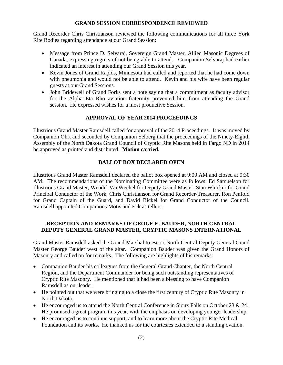#### **GRAND SESSION CORRESPONDENCE REVIEWED**

Grand Recorder Chris Christianson reviewed the following communications for all three York Rite Bodies regarding attendance at our Grand Session:

- Message from Prince D. Selvaraj, Sovereign Grand Master, Allied Masonic Degrees of Canada, expressing regrets of not being able to attend. Companion Selvaraj had earlier indicated an interest in attending our Grand Session this year.
- Kevin Jones of Grand Rapids, Minnesota had called and reported that he had come down with pneumonia and would not be able to attend. Kevin and his wife have been regular guests at our Grand Sessions.
- John Bridewell of Grand Forks sent a note saying that a commitment as faculty advisor for the Alpha Eta Rho aviation fraternity prevented him from attending the Grand session. He expressed wishes for a most productive Session.

## **APPROVAL OF YEAR 2014 PROCEEDINGS**

Illustrious Grand Master Ramsdell called for approval of the 2014 Proceedings. It was moved by Companion Ohrt and seconded by Companion Selberg that the proceedings of the Ninety-Eighth Assembly of the North Dakota Grand Council of Cryptic Rite Masons held in Fargo ND in 2014 be approved as printed and distributed. **Motion carried.**

## **BALLOT BOX DECLARED OPEN**

Illustrious Grand Master Ramsdell declared the ballot box opened at 9:00 AM and closed at 9:30 AM. The recommendations of the Nominating Committee were as follows: Ed Samuelson for Illustrious Grand Master, Wendel VanWechel for Deputy Grand Master, Stan Whicker for Grand Principal Conductor of the Work, Chris Christianson for Grand Recorder-Treasurer, Ron Penfold for Grand Captain of the Guard, and David Bickel for Grand Conductor of the Council. Ramsdell appointed Companions Motis and Eck as tellers.

## **RECEPTION AND REMARKS OF GEOGE E. BAUDER, NORTH CENTRAL DEPUTY GENERAL GRAND MASTER, CRYPTIC MASONS INTERNATIONAL**

Grand Master Ramsdell asked the Grand Marshal to escort North Central Deputy General Grand Master George Bauder west of the altar. Companion Bauder was given the Grand Honors of Masonry and called on for remarks. The following are highlights of his remarks:

- Companion Bauder his colleagues from the General Grand Chapter, the North Central Region, and the Department Commander for being such outstanding representatives of Cryptic Rite Masonry. He mentioned that it had been a blessing to have Companion Ramsdell as our leader.
- He pointed out that we were bringing to a close the first century of Cryptic Rite Masonry in North Dakota.
- $\bullet$  He encouraged us to attend the North Central Conference in Sioux Falls on October 23 & 24. He promised a great program this year, with the emphasis on developing younger leadership.
- He encouraged us to continue support, and to learn more about the Cryptic Rite Medical Foundation and its works. He thanked us for the courtesies extended to a standing ovation.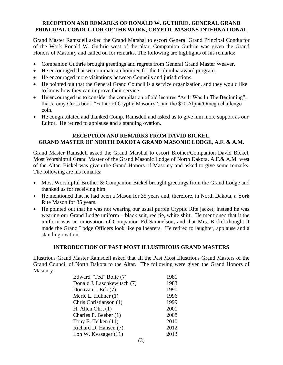## **RECEPTION AND REMARKS OF RONALD W. GUTHRIE, GENERAL GRAND PRINCIPAL CONDUCTOR OF THE WORK, CRYPTIC MASONS INTERNATIONAL**

Grand Master Ramsdell asked the Grand Marshal to escort General Grand Principal Conductor of the Work Ronald W. Guthrie west of the altar. Companion Guthrie was given the Grand Honors of Masonry and called on for remarks. The following are highlights of his remarks:

- Companion Guthrie brought greetings and regrets from General Grand Master Weaver.
- He encouraged that we nominate an honoree for the Columbia award program.
- He encouraged more visitations between Councils and jurisdictions.
- He pointed out that the General Grand Council is a service organization, and they would like to know how they can improve their service.
- He encouraged us to consider the compilation of old lectures "As It Was In The Beginning", the Jeremy Cross book "Father of Cryptic Masonry", and the \$20 Alpha/Omega challenge coin.
- He congratulated and thanked Comp. Ramsdell and asked us to give him more support as our Editor. He retired to applause and a standing ovation.

## **RECEPTION AND REMARKS FROM DAVID BICKEL, GRAND MASTER OF NORTH DAKOTA GRAND MASONIC LODGE, A.F. & A.M.**

Grand Master Ramsdell asked the Grand Marshal to escort Brother/Companion David Bickel, Most Worshipful Grand Master of the Grand Masonic Lodge of North Dakota, A.F.& A.M. west of the Altar. Bickel was given the Grand Honors of Masonry and asked to give some remarks. The following are his remarks:

- Most Worshipful Brother & Companion Bickel brought greetings from the Grand Lodge and thanked us for receiving him.
- He mentioned that he had been a Mason for 35 years and, therefore, in North Dakota, a York Rite Mason for 35 years.
- He pointed out that he was not wearing our usual purple Cryptic Rite jacket; instead he was wearing our Grand Lodge uniform – black suit, red tie, white shirt. He mentioned that it the uniform was an innovation of Companion Ed Samuelson, and that Mrs. Bickel thought it made the Grand Lodge Officers look like pallbearers. He retired to laughter, applause and a standing ovation.

## **INTRODUCTION OF PAST MOST ILLUSTRIOUS GRAND MASTERS**

Illustrious Grand Master Ramsdell asked that all the Past Most Illustrious Grand Masters of the Grand Council of North Dakota to the Altar. The following were given the Grand Honors of Masonry:

| Edward "Ted" Bolte (7)      | 1981 |
|-----------------------------|------|
| Donald J. Laschkewitsch (7) | 1983 |
| Donavan J. Eck (7)          | 1990 |
| Merle L. Huhner (1)         | 1996 |
| Chris Christianson (1)      | 1999 |
| H. Allen Ohrt $(1)$         | 2001 |
| Charles P. Beeber (1)       | 2008 |
| Tony E. Telken (11)         | 2010 |
| Richard D. Hansen (7)       | 2012 |
| Lon W. Kvasager (11)        | 2013 |
| $\sim$                      |      |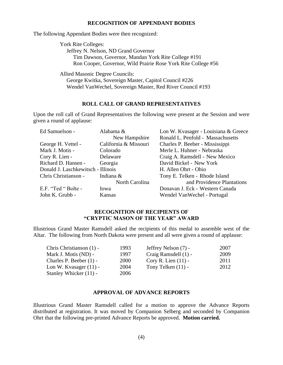#### **RECOGNITION OF APPENDANT BODIES**

The following Appendant Bodies were then recognized:

York Rite Colleges: Jeffrey N. Nelson, ND Grand Governor Tim Dawson, Governor, Mandan York Rite College #191 Ron Cooper, Governor, Wild Prairie Rose York Rite College #56

Allied Masonic Degree Councils: George Kwitka, Sovereign Master, Capitol Council #226 Wendel VanWechel, Sovereign Master, Red River Council #193

#### **ROLL CALL OF GRAND REPRESENTATIVES**

Upon the roll call of Grand Representatives the following were present at the Session and were given a round of applause:

| Ed Samuelson -                     | Alabama &             | Lon W. Kvasager - Louisiana & Greece |
|------------------------------------|-----------------------|--------------------------------------|
|                                    | New Hampshire         | Ronald L. Penfold - Massachusetts    |
| George H. Vettel -                 | California & Missouri | Charles P. Beeber - Mississippi      |
| Mark J. Motis -                    | Colorado              | Merle L. Huhner - Nebraska           |
| Cory R. Lien -                     | Delaware              | Craig A. Ramsdell - New Mexico       |
| Richard D. Hansen -                | Georgia               | David Bickel - New York              |
| Donald J. Laschkewitsch - Illinois |                       | H. Allen Ohrt - Ohio                 |
| Chris Christianson -               | Indiana &             | Tony E. Telken - Rhode Island        |
|                                    | North Carolina        | and Providence Plantations           |
| E.F. "Ted " Bolte -                | Iowa                  | Donavan J. Eck - Western Canada      |
| John K. Grubb -                    | Kansas                | Wendel VanWechel - Portugal          |

### **RECOGNITION OF RECIPIENTS OF "CRYPTIC MASON OF THE YEAR" AWARD**

Illustrious Grand Master Ramsdell asked the recipients of this medal to assemble west of the Altar. The following from North Dakota were present and all were given a round of applause:

| Chris Christianson (1) - | 1993 | Jeffrey Nelson (7) -  | 2007 |
|--------------------------|------|-----------------------|------|
| Mark J. Motis (ND) -     | 1997 | Craig Ramsdell (1) -  | 2009 |
| Charles P. Beeber (1) -  | 2000 | Cory R. Lien $(11)$ - | 2011 |
| Lon W. Kvasager $(11)$ - | 2004 | Tony Telken $(11)$ -  | 2012 |
| Stanley Whicker (11) -   | 2006 |                       |      |

## **APPROVAL OF ADVANCE REPORTS**

Illustrious Grand Master Ramsdell called for a motion to approve the Advance Reports distributed at registration. It was moved by Companion Selberg and seconded by Companion Ohrt that the following pre-printed Advance Reports be approved. **Motion carried.**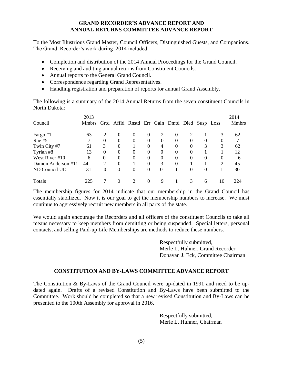## **GRAND RECORDER'S ADVANCE REPORT AND ANNUAL RETURNS COMMITTEE ADVANCE REPORT**

To the Most Illustrious Grand Master, Council Officers, Distinguished Guests, and Companions. The Grand Recorder's work during 2014 included:

- Completion and distribution of the 2014 Annual Proceedings for the Grand Council.
- Receiving and auditing annual returns from Constituent Councils.
- Annual reports to the General Grand Council.
- Correspondence regarding Grand Representatives.
- Handling registration and preparation of reports for annual Grand Assembly.

The following is a summary of the 2014 Annual Returns from the seven constituent Councils in North Dakota:

| Council            | 2013<br><b>Mmbrs</b> |          |                  | Grtd Affld Rnstd Err Gain Dmtd Died Susp Loss |                  |          |                  |          |          |          | 2014<br><b>Mmbrs</b> |
|--------------------|----------------------|----------|------------------|-----------------------------------------------|------------------|----------|------------------|----------|----------|----------|----------------------|
|                    |                      |          |                  |                                               |                  |          |                  |          |          |          |                      |
| Fargo #1           | 63                   | 2        | $\Omega$         | $\Omega$                                      | $\theta$         | 2        | $\Omega$         | 2        |          | 3        | 62                   |
| $\text{Rae} \#5$   |                      | $\theta$ | $\Omega$         | $\Omega$                                      | $\theta$         | $\Omega$ | $\Omega$         | $\Omega$ | $\Omega$ | $\Omega$ | 7                    |
| Twin City #7       | 61                   | 3        | $\boldsymbol{0}$ |                                               | $\boldsymbol{0}$ | 4        | $\boldsymbol{0}$ | $\Omega$ | 3        | 3        | 62                   |
| Tyrian #8          | 13                   | $\theta$ | $\boldsymbol{0}$ | $\theta$                                      | $\theta$         | 0        | $\boldsymbol{0}$ | $\Omega$ |          |          | 12                   |
| West River #10     | 6                    | $\theta$ | $\theta$         | $\Omega$                                      | $\theta$         | 0        | $\Omega$         | $\Omega$ | $\theta$ | 0        | 6                    |
| Damon Anderson #11 | 44                   | 2        | $\theta$         |                                               | $\theta$         | 3        | $\theta$         |          |          | 2        | 45                   |
| ND Council UD      | 31                   | 0        | $\Omega$         | $\Omega$                                      | $\theta$         | $\Omega$ |                  | $\Omega$ | $\theta$ |          | 30                   |
| <b>Totals</b>      | 225                  |          | 0                |                                               | 0                | 9        |                  |          | 6        | 10       | 224                  |

The membership figures for 2014 indicate that our membership in the Grand Council has essentially stabilized. Now it is our goal to get the membership numbers to increase. We must continue to aggressively recruit new members in all parts of the state.

We would again encourage the Recorders and all officers of the constituent Councils to take all means necessary to keep members from demitting or being suspended. Special letters, personal contacts, and selling Paid-up Life Memberships are methods to reduce these numbers.

> Respectfully submitted, Merle L. Huhner, Grand Recorder Donavan J. Eck, Committee Chairman

## **CONSTITUTION AND BY-LAWS COMMITTEE ADVANCE REPORT**

The Constitution & By-Laws of the Grand Council were up-dated in 1991 and need to be updated again. Drafts of a revised Constitution and By-Laws have been submitted to the Committee. Work should be completed so that a new revised Constitution and By-Laws can be presented to the 100th Assembly for approval in 2016.

> Respectfully submitted, Merle L. Huhner, Chairman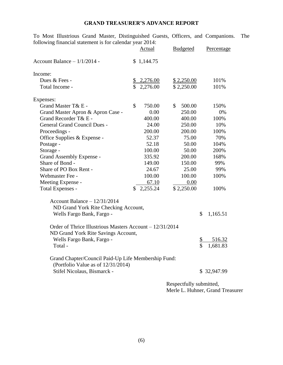## **GRAND TREASURER'S ADVANCE REPORT**

To Most Illustrious Grand Master, Distinguished Guests, Officers, and Companions. The following financial statement is for calendar year 2014:

|                                                          |            | Actual     | <b>Budgeted</b> |                    | Percentage  |
|----------------------------------------------------------|------------|------------|-----------------|--------------------|-------------|
| Account Balance $-1/1/2014$ -                            | \$1,144.75 |            |                 |                    |             |
| Income:                                                  |            |            |                 |                    |             |
| Dues & Fees -                                            |            | \$2,276.00 | \$2,250.00      |                    | 101%        |
| Total Income -                                           |            | \$2,276.00 | \$2,250.00      |                    | 101%        |
| Expenses:                                                |            |            |                 |                    |             |
| Grand Master T& E -                                      | \$         | 750.00     | \$<br>500.00    |                    | 150%        |
| Grand Master Apron & Apron Case -                        |            | 0.00       | 250.00          |                    | 0%          |
| Grand Recorder T& E -                                    |            | 400.00     | 400.00          |                    | 100%        |
| <b>General Grand Council Dues -</b>                      |            | 24.00      | 250.00          |                    | 10%         |
| Proceedings -                                            |            | 200.00     | 200.00          |                    | 100%        |
| Office Supplies & Expense -                              |            | 52.37      | 75.00           |                    | 70%         |
| Postage -                                                |            | 52.18      | 50.00           |                    | 104%        |
| Storage -                                                |            | 100.00     | 50.00           |                    | 200%        |
| Grand Assembly Expense -                                 |            | 335.92     | 200.00          |                    | 168%        |
| Share of Bond -                                          |            | 149.00     | 150.00          |                    | 99%         |
| Share of PO Box Rent -                                   |            | 24.67      | 25.00           |                    | 99%         |
| Webmaster Fee -                                          |            | 100.00     | 100.00          |                    | 100%        |
| Meeting Expense -                                        |            | 67.10      | 0.00            |                    |             |
| Total Expenses -                                         |            | 2,255.24   | \$2,250.00      |                    | 100%        |
| Account Balance $-12/31/2014$                            |            |            |                 |                    |             |
| ND Grand York Rite Checking Account,                     |            |            |                 |                    |             |
| Wells Fargo Bank, Fargo -                                |            |            |                 | \$                 | 1,165.51    |
| Order of Thrice Illustrious Masters Account – 12/31/2014 |            |            |                 |                    |             |
| ND Grand York Rite Savings Account,                      |            |            |                 |                    |             |
| Wells Fargo Bank, Fargo -                                |            |            |                 | \$                 | 516.32      |
| Total -                                                  |            |            |                 | $\mathbf{\hat{S}}$ | 1,681.83    |
| Grand Chapter/Council Paid-Up Life Membership Fund:      |            |            |                 |                    |             |
| (Portfolio Value as of 12/31/2014)                       |            |            |                 |                    |             |
| Stifel Nicolaus, Bismarck -                              |            |            |                 |                    | \$32,947.99 |
|                                                          |            |            | 0.011           |                    |             |

Respectfully submitted, Merle L. Huhner, Grand Treasurer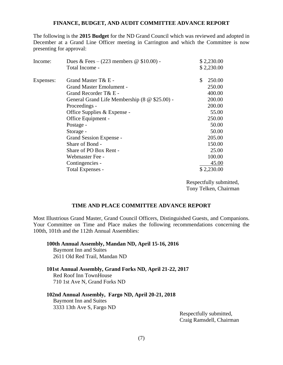#### **FINANCE, BUDGET, AND AUDIT COMMITTEE ADVANCE REPORT**

The following is the **2015 Budget** for the ND Grand Council which was reviewed and adopted in December at a Grand Line Officer meeting in Carrington and which the Committee is now presenting for approval:

| Income:   | Dues & Fees $-$ (223 members $\omega$ \$10.00) - | \$2,230.00   |
|-----------|--------------------------------------------------|--------------|
|           | Total Income -                                   | \$2,230.00   |
| Expenses: | Grand Master T& E -                              | \$<br>250.00 |
|           | <b>Grand Master Emolument -</b>                  | 250.00       |
|           | Grand Recorder T& E -                            | 400.00       |
|           | General Grand Life Membership (8 @ \$25.00) -    | 200.00       |
|           | Proceedings -                                    | 200.00       |
|           | Office Supplies & Expense -                      | 55.00        |
|           | Office Equipment -                               | 250.00       |
|           | Postage -                                        | 50.00        |
|           | Storage -                                        | 50.00        |
|           | Grand Session Expense -                          | 205.00       |
|           | Share of Bond -                                  | 150.00       |
|           | Share of PO Box Rent -                           | 25.00        |
|           | Webmaster Fee -                                  | 100.00       |
|           | Contingencies -                                  | 45.00        |
|           | Total Expenses -                                 | \$2,230.00   |

Respectfully submitted, Tony Telken, Chairman

#### **TIME AND PLACE COMMITTEE ADVANCE REPORT**

Most Illustrious Grand Master, Grand Council Officers, Distinguished Guests, and Companions. Your Committee on Time and Place makes the following recommendations concerning the 100th, 101th and the 112th Annual Assemblies:

#### **100th Annual Assembly, Mandan ND, April 15-16, 2016**

Baymont Inn and Suites 2611 Old Red Trail, Mandan ND

#### **101st Annual Assembly, Grand Forks ND, April 21-22, 2017**

Red Roof Inn TownHouse 710 1st Ave N, Grand Forks ND

#### **102nd Annual Assembly, Fargo ND, April 20-21, 2018**

Baymont Inn and Suites 3333 13th Ave S, Fargo ND

> Respectfully submitted, Craig Ramsdell, Chairman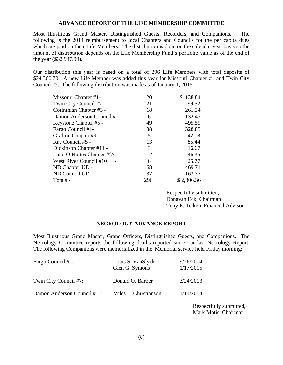#### **ADVANCE REPORT OF THE LIFE MEMBERSHIP COMMITTEE**

Most Illustrious Grand Master, Distinguished Guests, Recorders, and Companions. The following is the 2014 reimbursement to local Chapters and Councils for the per capita dues which are paid on their Life Members. The distribution is done on the calendar year basis so the amount of distribution depends on the Life Membership Fund's portfolio value as of the end of the year (\$32,947.99).

Our distribution this year is based on a total of 296 Life Members with total deposits of \$24,360.70. A new Life Member was added this year for Missouri Chapter #1 and Twin City Council #7. The following distribution was made as of January 1, 2015:

| Missouri Chapter #1-         | 20             | \$138.84   |
|------------------------------|----------------|------------|
| Twin City Council #7-        | 21             | 99.52      |
| Corinthian Chapter #3 -      | 18             | 261.24     |
| Damon Anderson Council #11 - | 6              | 132.43     |
| Keystone Chapter #5 -        | 49             | 495.59     |
| Fargo Council #1-            | 38             | 328.85     |
| Grafton Chapter #9 -         | 5              | 42.18      |
| Rae Council #5 -             | 13             | 85.44      |
| Dickinson Chapter #11 -      | 3              | 16.67      |
| Land O'Buttes Chapter #25 -  | 12             | 46.35      |
| West River Council #10       | 6              | 25.77      |
| ND Chapter UD -              | 68             | 469.71     |
| ND Council UD -              | $\frac{37}{2}$ | 163.77     |
| Totals -                     | 296            | \$2,306.36 |
|                              |                |            |

Respectfully submitted, Donavan Eck, Chairman Tony E. Telken, Financial Advisor

#### **NECROLOGY ADVANCE REPORT**

Most Illustrious Grand Master, Grand Officers, Distinguished Guests, and Companions. The Necrology Committee reports the following deaths reported since our last Necrology Report. The following Companions were memorialized in the Memorial service held Friday morning:

| Fargo Council #1:           | Louis S. VanSlyck<br>Glen G. Symons | 9/26/2014<br>1/17/2015 |
|-----------------------------|-------------------------------------|------------------------|
| Twin City Council #7:       | Donald O. Barber                    | 3/24/2013              |
| Damon Anderson Council #11: | Miles L. Christianson               | 1/11/2014              |

Respectfully submitted, Mark Motis, Chairman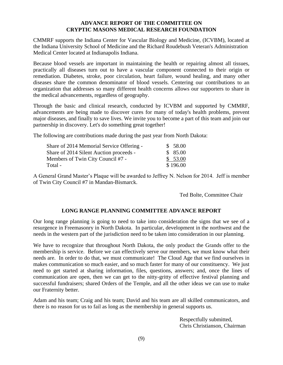## **ADVANCE REPORT OF THE COMMITTEE ON CRYPTIC MASONS MEDICAL RESEARCH FOUNDATION**

CMMRF supports the Indiana Center for Vascular Biology and Medicine, (ICVBM), located at the Indiana University School of Medicine and the Richard Roudebush Veteran's Administration Medical Center located at Indianapolis Indiana.

Because blood vessels are important in maintaining the health or repairing almost all tissues, practically all diseases turn out to have a vascular component connected to their origin or remediation. Diabetes, stroke, poor circulation, heart failure, wound healing, and many other diseases share the common denominator of blood vessels. Centering our contributions to an organization that addresses so many different health concerns allows our supporters to share in the medical advancements, regardless of geography.

Through the basic and clinical research, conducted by ICVBM and supported by CMMRF, advancements are being made to discover cures for many of today's health problems, prevent major diseases, and finally to save lives. We invite you to become a part of this team and join our partnership in discovery. Let's do something great together!

The following are contributions made during the past year from North Dakota:

| Share of 2014 Memorial Service Offering - | \$58.00  |
|-------------------------------------------|----------|
| Share of 2014 Silent Auction proceeds -   | \$85.00  |
| Members of Twin City Council #7 -         | \$53.00  |
| Total -                                   | \$196.00 |

A General Grand Master's Plaque will be awarded to Jeffrey N. Nelson for 2014. Jeff is member of Twin City Council #7 in Mandan-Bismarck.

Ted Bolte, Committee Chair

## **LONG RANGE PLANNING COMMITTEE ADVANCE REPORT**

Our long range planning is going to need to take into consideration the signs that we see of a resurgence in Freemasonry in North Dakota. In particular, development in the northwest and the needs in the western part of the jurisdiction need to be taken into consideration in our planning.

We have to recognize that throughout North Dakota, the only product the Grands offer to the membership is service. Before we can effectively serve our members, we must know what their needs are. In order to do that, we must communicate! The Cloud Age that we find ourselves in makes communication so much easier, and so much faster for many of our constituency. We just need to get started at sharing information, files, questions, answers; and, once the lines of communication are open, then we can get to the nitty-gritty of effective festival planning and successful fundraisers; shared Orders of the Temple, and all the other ideas we can use to make our Fraternity better.

Adam and his team; Craig and his team; David and his team are all skilled communicators, and there is no reason for us to fail as long as the membership in general supports us.

> Respectfully submitted, Chris Christianson, Chairman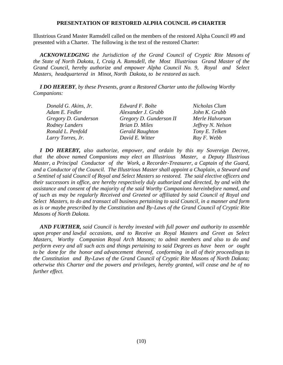#### **PRESENTATION OF RESTORED ALPHA COUNCIL #9 CHARTER**

Illustrious Grand Master Ramsdell called on the members of the restored Alpha Council #9 and presented with a Charter. The following is the text of the restored Charter:

*ACKNOWLEDGING the Jurisdiction of the Grand Council of Cryptic Rite Masons of the State of North Dakota, I, Craig A. Ramsdell, the Most Illustrious Grand Master of the Grand Council, hereby authorize and empower Alpha Council No. 9, Royal and Select Masters, headquartered in Minot, North Dakota, to be restored as such.* 

*I DO HEREBY, by these Presents, grant a Restored Charter unto the following Worthy Companions:*

| Donald G. Akins, Jr. | Edward F. Bolte         | Nicholas Clum     |
|----------------------|-------------------------|-------------------|
| Adam E. Fedler       | Alexander J. Grubb      | John K. Grubb     |
| Gregory D. Gunderson | Gregory D. Gunderson II | Merle Halvorson   |
| Rodney Landers       | Brian D. Miles          | Jeffrey N. Nelson |
| Ronald L. Penfold    | <b>Gerald Raughton</b>  | Tony E. Telken    |
| Larry Torres, Jr.    | David E. Witter         | Ray F. Webb       |

 *I DO HEREBY, also authorize, empower, and ordain by this my Sovereign Decree, that the above named Companions may elect an Illustrious Master, a Deputy Illustrious Master, a Principal Conductor of the Work, a Recorder-Treasurer, a Captain of the Guard, and a Conductor of the Council. The Illustrious Master shall appoint a Chaplain, a Steward and a Sentinel of said Council of Royal and Select Masters so restored. The said elective officers and their successors in office, are hereby respectively duly authorized and directed, by and with the assistance and consent of the majority of the said Worthy Companions hereinbefore named, and of such as may be regularly Received and Greeted or affiliated by said Council of Royal and Select Masters, to do and transact all business pertaining to said Council, in a manner and form as is or maybe prescribed by the Constitution and By-Laws of the Grand Council of Cryptic Rite Masons of North Dakota.*

*AND FURTHER, said Council is hereby invested with full power and authority to assemble upon proper and lawful occasions, and to Receive as Royal Masters and Greet as Select Masters, Worthy Companion Royal Arch Masons; to admit members and also to do and perform every and all such acts and things pertaining to said Degrees as have been or ought to be done for the honor and advancement thereof, conforming in all of their proceedings to the Constitution and By-Laws of the Grand Council of Cryptic Rite Masons of North Dakota; otherwise this Charter and the powers and privileges, hereby granted, will cease and be of no further effect.*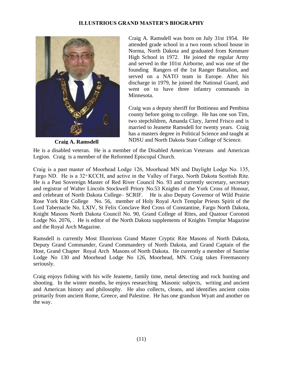## **ILLUSTRIOUS GRAND MASTER'S BIOGRAPHY**



 **Craig A. Ramsdell**

Craig A. Ramsdell was born on July 31st 1954. He attended grade school in a two room school house in Norma, North Dakota and graduated from Kenmare High School in 1972. He joined the regular Army and served in the 101st Airborne, and was one of the founding Rangers of the 1st Ranger Battalion, and served on a NATO team in Europe. After his discharge in 1979, he joined the National Guard, and went on to have three infantry commands in Minnesota.

Craig was a deputy sheriff for Bottineau and Pembina county before going to college. He has one son Tim, two stepchildren, Amanda Clary, Jarred Frisco and is married to Jeanette Ramsdell for twenty years. Craig has a masters degree in Political Science and taught at NDSU and North Dakota State College of Science.

He is a disabled veteran. He is a member of the Disabled American Veterans and American Legion. Craig is a member of the Reformed Episcopal Church.

Craig is a past master of Moorhead Lodge 126, Moorhead MN and Daylight Lodge No. 135, Fargo ND. He is a 32° KCCH, and active in the Valley of Fargo, North Dakota Scottish Rite. He is a Past Sovereign Master of Red River Council No. 93 and currently secretary, secretary and registrar of Walter Lincoln Stockwell Priory No.53 Knights of the York Cross of Honour, and celebrant of North Dakota College– SCRIF. He is also Deputy Governor of Wild Prairie Rose York Rite College No. 56, member of Holy Royal Arch Templar Priests Spirit of the Lord Tabernacle No. LXIV, St Felix Conclave Red Cross of Constantine, Fargo North Dakota, Knight Masons North Dakota Council No. 90, Grand College of Rites, and Quatour Coronoti Lodge No. 2076, . He is editor of the North Dakota supplements of Knights Templar Magazine and the Royal Arch Magazine.

Ramsdell is currently Most Illustrious Grand Master Cryptic Rite Masons of North Dakota, Deputy Grand Commander, Grand Commandery of North Dakota, and Grand Captain of the Host, Grand Chapter Royal Arch Masons of North Dakota. He currently a member of Sunrise Lodge No 130 and Moorhead Lodge No 126, Moorhead, MN. Craig takes Freemasonry seriously.

Craig enjoys fishing with his wife Jeanette, family time, metal detecting and rock hunting and shooting. In the winter months, he enjoys researching Masonic subjects, writing and ancient and American history and philosophy. He also collects, cleans, and identifies ancient coins primarily from ancient Rome, Greece, and Palestine. He has one grandson Wyatt and another on the way.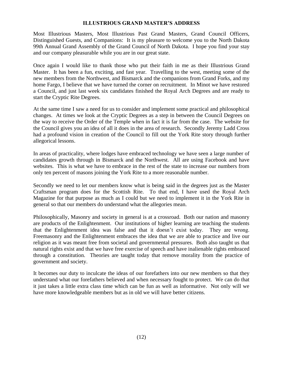#### **ILLUSTRIOUS GRAND MASTER'S ADDRESS**

Most Illustrious Masters, Most Illustrious Past Grand Masters, Grand Council Officers, Distinguished Guests, and Companions: It is my pleasure to welcome you to the North Dakota 99th Annual Grand Assembly of the Grand Council of North Dakota. I hope you find your stay and our company pleasurable while you are in our great state.

Once again I would like to thank those who put their faith in me as their Illustrious Grand Master. It has been a fun, exciting, and fast year. Travelling to the west, meeting some of the new members from the Northwest, and Bismarck and the companions from Grand Forks, and my home Fargo, I believe that we have turned the corner on recruitment. In Minot we have restored a Council, and just last week six candidates finished the Royal Arch Degrees and are ready to start the Cryptic Rite Degrees.

At the same time I saw a need for us to consider and implement some practical and philosophical changes. At times we look at the Cryptic Degrees as a step in between the Council Degrees on the way to receive the Order of the Temple when in fact it is far from the case. The website for the Council gives you an idea of all it does in the area of research. Secondly Jeremy Ladd Cross had a profound vision in creation of the Council to fill out the York Rite story through further allegorical lessons.

In areas of practicality, where lodges have embraced technology we have seen a large number of candidates growth through in Bismarck and the Northwest. All are using Facebook and have websites. This is what we have to embrace in the rest of the state to increase our numbers from only ten percent of masons joining the York Rite to a more reasonable number.

Secondly we need to let our members know what is being said in the degrees just as the Master Craftsman program does for the Scottish Rite. To that end, I have used the Royal Arch Magazine for that purpose as much as I could but we need to implement it in the York Rite in general so that our members do understand what the allegories mean.

Philosophically, Masonry and society in general is at a crossroad. Both our nation and masonry are products of the Enlightenment. Our institutions of higher learning are teaching the students that the Enlightenment idea was false and that it doesn't exist today. They are wrong. Freemasonry and the Enlightenment embraces the idea that we are able to practice and live our religion as it was meant free from societal and governmental pressures. Both also taught us that natural rights exist and that we have free exercise of speech and have inalienable rights embraced through a constitution. Theories are taught today that remove morality from the practice of government and society.

It becomes our duty to inculcate the ideas of our forefathers into our new members so that they understand what our forefathers believed and when necessary fought to protect. We can do that it just takes a little extra class time which can be fun as well as informative. Not only will we have more knowledgeable members but as in old we will have better citizens.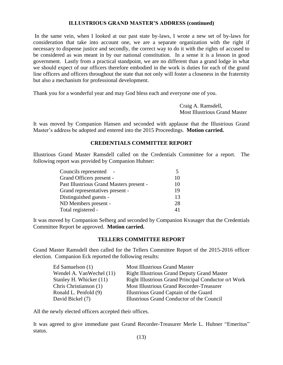#### **ILLUSTRIOUS GRAND MASTER'S ADDRESS (continued)**

In the same vein, when I looked at our past state by-laws, I wrote a new set of by-laws for consideration that take into account one, we are a separate organization with the right if necessary to dispense justice and secondly, the correct way to do it with the rights of accused to be considered as was meant in by our national constitution. In a sense it is a lesson in good government. Lastly from a practical standpoint, we are no different than a grand lodge in what we should expect of our officers therefore embodied in the work is duties for each of the grand line officers and officers throughout the state that not only will foster a closeness in the fraternity but also a mechanism for professional development.

Thank you for a wonderful year and may God bless each and everyone one of you.

 Craig A. Ramsdell, Most Illustrious Grand Master

It was moved by Companion Hansen and seconded with applause that the Illustrious Grand Master's address be adopted and entered into the 2015 Proceedings. **Motion carried.** 

#### **CREDENTIALS COMMITTEE REPORT**

Illustrious Grand Master Ramsdell called on the Credentials Committee for a report. The following report was provided by Companion Huhner:

| Councils represented                     |    |
|------------------------------------------|----|
| Grand Officers present -                 | 10 |
| Past Illustrious Grand Masters present - | 10 |
| Grand representatives present -          | 19 |
| Distinguished guests -                   | 13 |
| ND Members present -                     | 28 |
| Total registered -                       |    |
|                                          |    |

It was moved by Companion Selberg and seconded by Companion Kvasager that the Credentials Committee Report be approved. **Motion carried.**

#### **TELLERS COMMITTEE REPORT**

Grand Master Ramsdell then called for the Tellers Committee Report of the 2015-2016 officer election. Companion Eck reported the following results:

| Ed Samuelson $(1)$       | <b>Most Illustrious Grand Master</b>                 |
|--------------------------|------------------------------------------------------|
| Wendel A. VanWechel (11) | <b>Right Illustrious Grand Deputy Grand Master</b>   |
| Stanley H. Whicker (11)  | Right Illustrious Grand Principal Conductor o/t Work |
| Chris Christianson (1)   | <b>Most Illustrious Grand Recorder-Treasurer</b>     |
| Ronald L. Penfold (9)    | Illustrious Grand Captain of the Guard               |
| David Bickel (7)         | Illustrious Grand Conductor of the Council           |

All the newly elected officers accepted their offices.

It was agreed to give immediate past Grand Recorder-Treasurer Merle L. Huhner "Emeritus" status.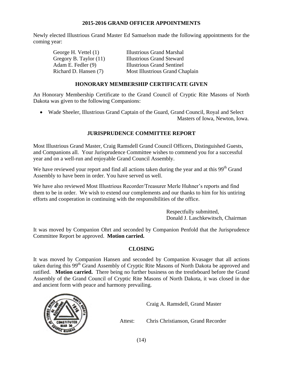## **2015-2016 GRAND OFFICER APPOINTMENTS**

Newly elected Illustrious Grand Master Ed Samuelson made the following appointments for the coming year:

| George H. Vettel (1)   | <b>Illustrious Grand Marshal</b>  |
|------------------------|-----------------------------------|
| Gregory B. Taylor (11) | <b>Illustrious Grand Steward</b>  |
| Adam E. Fedler (9)     | <b>Illustrious Grand Sentinel</b> |
| Richard D. Hansen (7)  | Most Illustrious Grand Chaplain   |

## **HONORARY MEMBERSHIP CERTIFICATE GIVEN**

An Honorary Membership Certificate to the Grand Council of Cryptic Rite Masons of North Dakota was given to the following Companions:

 Wade Sheeler, Illustrious Grand Captain of the Guard, Grand Council, Royal and Select Masters of Iowa, Newton, Iowa.

## **JURISPRUDENCE COMMITTEE REPORT**

Most Illustrious Grand Master, Craig Ramsdell Grand Council Officers, Distinguished Guests, and Companions all. Your Jurisprudence Committee wishes to commend you for a successful year and on a well-run and enjoyable Grand Council Assembly.

We have reviewed your report and find all actions taken during the year and at this 99<sup>th</sup> Grand Assembly to have been in order. You have served us well.

We have also reviewed Most Illustrious Recorder/Treasurer Merle Huhner's reports and find them to be in order. We wish to extend our complements and our thanks to him for his untiring efforts and cooperation in continuing with the responsibilities of the office.

> Respectfully submitted, Donald J. Laschkewitsch, Chairman

It was moved by Companion Ohrt and seconded by Companion Penfold that the Jurisprudence Committee Report be approved. **Motion carried.**

## **CLOSING**

It was moved by Companion Hansen and seconded by Companion Kvasager that all actions taken during this 99<sup>th</sup> Grand Assembly of Cryptic Rite Masons of North Dakota be approved and ratified. **Motion carried.** There being no further business on the trestleboard before the Grand Assembly of the Grand Council of Cryptic Rite Masons of North Dakota, it was closed in due and ancient form with peace and harmony prevailing.



Craig A. Ramsdell, Grand Master

Attest: Chris Christianson, Grand Recorder

(14)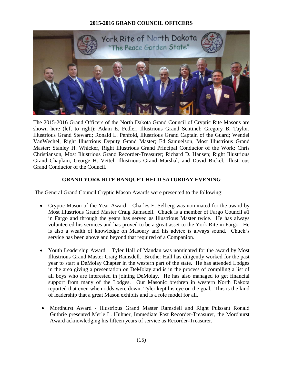## **2015-2016 GRAND COUNCIL OFFICERS**



The 2015-2016 Grand Officers of the North Dakota Grand Council of Cryptic Rite Masons are shown here (left to right): Adam E. Fedler, Illustrious Grand Sentinel; Gregory B. Taylor, Illustrious Grand Steward; Ronald L. Penfold, Illustrious Grand Captain of the Guard; Wendel VanWechel, Right Illustrious Deputy Grand Master; Ed Samuelson, Most Illustrious Grand Master; Stanley H. Whicker, Right Illustrious Grand Principal Conductor of the Work; Chris Christianson, Most Illustrious Grand Recorder-Treasurer; Richard D. Hansen; Right Illustrious Grand Chaplain; George H. Vettel, Illustrious Grand Marshal; and David Bickel, Illustrious Grand Conductor of the Council.

### **GRAND YORK RITE BANQUET HELD SATURDAY EVENING**

The General Grand Council Cryptic Mason Awards were presented to the following:

- Cryptic Mason of the Year Award Charles E. Selberg was nominated for the award by Most Illustrious Grand Master Craig Ramsdell. Chuck is a member of Fargo Council #1 in Fargo and through the years has served as Illustrious Master twice. He has always volunteered his services and has proved to be a great asset to the York Rite in Fargo. He is also a wealth of knowledge on Masonry and his advice is always sound. Chuck's service has been above and beyond that required of a Companion.
- Youth Leadership Award Tyler Hall of Mandan was nominated for the award by Most Illustrious Grand Master Craig Ramsdell. Brother Hall has diligently worked for the past year to start a DeMolay Chapter in the western part of the state. He has attended Lodges in the area giving a presentation on DeMolay and is in the process of compiling a list of all boys who are interested in joining DeMolay. He has also managed to get financial support from many of the Lodges. Our Masonic brethren in western North Dakota reported that even when odds were down, Tyler kept his eye on the goal. This is the kind of leadership that a great Mason exhibits and is a role model for all.
- Mordhurst Award Illustrious Grand Master Ramsdell and Right Puissant Ronald Guthrie presented Merle L. Huhner, Immediate Past Recorder-Treasurer, the Mordhurst Award acknowledging his fifteen years of service as Recorder-Treasurer.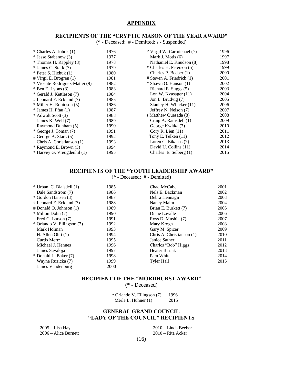#### **APPENDIX**

#### **RECIPIENTS OF THE "CRYPTIC MASON OF THE YEAR AWARD"**

(\* - Deceased; # - Demitted; s - Suspended)

| $*$ Charles A. Johnk $(1)$     | 1976 | * Virgil W. Carmichael (7)    | 1996 |
|--------------------------------|------|-------------------------------|------|
| * Jesse Stabenow (3)           | 1977 | Mark J. Motis (6)             | 1997 |
| * Thomas H. Rappley (3)        | 1978 | Nathaniel E. Knudson (8)      | 1998 |
| $*$ James C. Stark $(7)$       | 1979 | * Charles H. Peterson (5)     | 1999 |
| $*$ Peter S. Hichuk $(1)$      | 1980 | Charles P. Beeber (1)         | 2000 |
| $#$ Virgil E. Brogren $(1)$    | 1981 | $#$ Steven A. Friedrich $(1)$ | 2001 |
| * Vicente Rodriguez-Mattei (9) | 1982 | $#$ Shawn O. Hanson $(1)$     | 2002 |
| $*$ Ben E. Lyons $(3)$         | 1983 | Richard E. Suggs (5)          | 2003 |
| * Gerald J. Kettleson (7)      | 1984 | Lon W. Kvasager $(11)$        | 2004 |
| # Leonard F. Eckland (7)       | 1985 | Jon L. Brudvig (7)            | 2005 |
| * Miller H. Robinson (5)       | 1986 | Stanley H. Whicker (11)       | 2006 |
| $*$ James H. Pfau $(1)$        | 1987 | Jeffrey N. Nelson (7)         | 2007 |
| * Adwolt Scott (3)             | 1988 | s Matthew Ouesada (8)         | 2008 |
| James K. Well (7)              | 1989 | Craig A. Ramsdell (1)         | 2009 |
| Raymond Dunham (5)             | 1990 | George Kwitka (7)             | 2010 |
| * George J. Toman (7)          | 1991 | Cory R. Lien $(11)$           | 2011 |
| # George A. Stark (5)          | 1992 | Tony E. Telken (11)           | 2012 |
| Chris A. Christianson (1)      | 1993 | Loren G. Eikanas (7)          | 2013 |
| * Raymond E. Brown (5)         | 1994 | David U. Collins (11)         | 2014 |
| * Harvey G. Vreugdenhil (1)    | 1995 | Charles E. Selberg $(1)$      | 2015 |

#### **RECIPIENTS OF THE "YOUTH LEADERSHIP AWARD"**

(\* - Deceased; # - Demitted)

| * Urban C. Blaisdell (1)   | 1985 | Chad McCabe               | 2001 |
|----------------------------|------|---------------------------|------|
| Dale Sandstrom (7)         | 1986 | Nels E. Backman           | 2002 |
| * Gordon Hansen (3)        | 1987 | Debra Hennagir            | 2003 |
| # Leonard F. Eckland (7)   | 1988 | Nancy Malm                | 2004 |
| # Donald O. Johnson (1)    | 1989 | Brian E. Burkett (7)      | 2005 |
| * Milton Dohn (7)          | 1990 | Diane Lavalle             | 2006 |
| Fred G. Larson (7)         | 1991 | Ross D. Mushik (7)        | 2007 |
| * Orlando V. Ellingson (7) | 1992 | Mary Krogh                | 2008 |
| Mark Holman                | 1993 | Gary M. Spicer            | 2009 |
| H. Allen Ohrt $(1)$        | 1994 | Chris A. Christianson (1) | 2010 |
| Curtis Mertz               | 1995 | Janice Sather             | 2011 |
| Michael J. Hennes          | 1996 | Charles "Bob" Higgs       | 2012 |
| James Savaloja             | 1997 | <b>Heater Buriak</b>      | 2013 |
| * Donald L. Baker (7)      | 1998 | Pam White                 | 2014 |
| Wayne Ruzicka (7)          | 1999 | <b>Tyler Hall</b>         | 2015 |
| James Vandenburg           | 2000 |                           |      |

#### **RECIPIENT OF THE "MORDHURST AWARD"**

(\* - Deceased)

\* Orlando V. Ellingson (7) 1996 Merle L. Huhner (1) 2015

#### **GENERAL GRAND COUNCIL "LADY OF THE COUNCIL" RECIPIENTS**

2005 – Lisa Hay 2010 – Linda Beeber  $2006 -$  Alice Burnett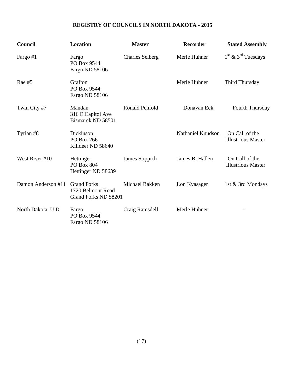## **REGISTRY OF COUNCILS IN NORTH DAKOTA - 2015**

| Council            | <b>Location</b>                                                 | <b>Master</b>          | <b>Recorder</b>          | <b>Stated Assembly</b>                      |
|--------------------|-----------------------------------------------------------------|------------------------|--------------------------|---------------------------------------------|
| Fargo #1           | Fargo<br>PO Box 9544<br>Fargo ND 58106                          | <b>Charles Selberg</b> | Merle Huhner             | $1st$ & $3rd$ Tuesdays                      |
| Rae $#5$           | Grafton<br>PO Box 9544<br>Fargo ND 58106                        |                        | Merle Huhner             | Third Thursday                              |
| Twin City #7       | Mandan<br>316 E Capitol Ave<br>Bismarck ND 58501                | Ronald Penfold         | Donavan Eck              | <b>Fourth Thursday</b>                      |
| Tyrian #8          | Dickinson<br>PO Box 266<br>Killdeer ND 58640                    |                        | <b>Nathaniel Knudson</b> | On Call of the<br><b>Illustrious Master</b> |
| West River #10     | Hettinger<br><b>PO Box 804</b><br>Hettinger ND 58639            | James Stippich         | James B. Hallen          | On Call of the<br><b>Illustrious Master</b> |
| Damon Anderson #11 | <b>Grand Forks</b><br>1720 Belmont Road<br>Grand Forks ND 58201 | Michael Bakken         | Lon Kvasager             | 1st & 3rd Mondays                           |
| North Dakota, U.D. | Fargo<br>PO Box 9544<br>Fargo ND 58106                          | Craig Ramsdell         | Merle Huhner             | $\qquad \qquad \blacksquare$                |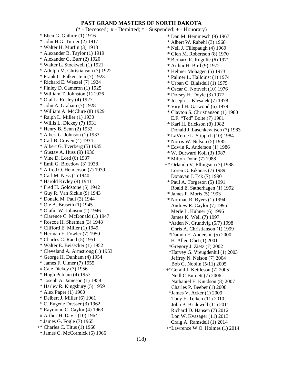#### **PAST GRAND MASTERS OF NORTH DAKOTA**

(\* - Deceased; # - Demitted; ^ - Suspended; + - Honorary) \* Eben G. Guthrie (1) 1916 \* John H.G. Turner (2) 1917 \* Walter H. Murfin (3) 1918 \* Alexander B. Taylor (1) 1919 \* Alexander G. Burr (2) 1920 \* Walter L. Stockwell (1) 1921 \* Adolph M. Christianson (7) 1922 \* Frank C. Falkenstein (7) 1923 \* Richard E. Wenzel (7) 1924 \* Finley D. Cameron (1) 1925 \* William T. Johnston (1) 1926 \* Olaf L. Rusley (4) 1927 \* John A. Graham (7) 1928 \* William A. McClure (8) 1929 \* Ralph L. Miller (1) 1930 \* Willis L. Dickey (7) 1931 \* Henry B. Senn (2) 1932 \* Albert G. Johnson (1) 1933 \* Carl B. Craven (4) 1934 \* Albert G. Tverberg (5) 1935 \* Gustav A. Huss (9) 1936 \* Vine D. Lord (6) 1937 \* Emil G. Bloedow (3) 1938 \* Alfred O. Henderson (7) 1939 \* Carl M. Ness (1) 1940 \* Harold Kivley (4) 1941 \* Fred H. Goldstone (5) 1942 \* Guy R. Van Sickle (9) 1943 \* Donald M. Paul (3) 1944 \* Ole A. Braseth (1) 1945 \* Olafur W. Johnson (2) 1946 \* Clarence C. McDonald (1) 1947 \* Roscoe H. Sherman (3) 1948 \* Clifford E. Miller (1) 1949 \* Herman E. Fowler (7) 1950 \* Charles C. Rand (5) 1951 \* Walter E. Beisecker (1) 1952 \* Cleveland A. Armstrong (1) 1953 \* George H. Dunham (4) 1954 \* James F. Ulmer (7) 1955 # Cale Dickey (7) 1956 \* Hugh Putnam (4) 1957 \* Joseph A. Jameson (1) 1958 \* Harley R. Kingsbury (5) 1959 \* Alex Paper (1) 1960 \* Delbert J. Miller (6) 1961 \* C. Eugene Dresser (3) 1962 \* Raymond C. Caylor (4) 1963 # Arthur H. Davis (10) 1964 \* James G. Fogle (7) 1965 +\* Charles C. Titus (1) 1966 \* James C. McCormick (6) 1966

 \* Dan M. Hemmesch (9) 1967 \* Albert W. Rabehl (3) 1968 \* Neil J. Tillepaugh (4) 1969 \* Glen M. Robertson (8) 1970 \* Bernard R. Rognlie (6) 1971 \* Arthur H. Bird (9) 1972 \* Helmer Mohagen (5) 1973 \* Palmer L. Hallquist (1) 1974 \* Urban C. Blaisdell (1) 1975 \* Oscar C. Nottveit (10) 1976 \* Dorsey H. Doyle (3) 1977 \* Joseph L. Klesalek (7) 1978 \* Virgil H. Garwood (6) 1979 \* Clayton S. Christianson (1) 1980 E.F. "Ted" Bolte (7) 1981 \* Karl H. Erickson (8) 1982 Donald J. Laschkewitsch (7) 1983 \* LaVerne L. Stippich (10) 1984 \* Norris W. Nelson (5) 1985 \* Edwin R. Anderson (1) 1986 \* W. Durward Koll (3) 1987 \* Milton Dohn (7) 1988 +\* Orlando V. Ellingson (7) 1988 Loren G. Eikanas (7) 1989 Donavan J. Eck (7) 1990 \* Paul A. Torgeson (5) 1991 Roald E. Satherhagen (1) 1992 \* James F. Moris (5) 1993 \* Norman R. Byers (1) 1994 Andrew R. Caylor (7) 1995 Merle L. Huhner (6) 1996 James K. Well (7) 1997 \*Arden N. Grundvig (5/7) 1998 Chris A. Christianson (1) 1999 \*Damon E. Anderson (5) 2000 H. Allen Ohrt (1) 2001 ^Gregory J. Zietz (7) 2002 \*Harvey G. Vreugdenhil (1) 2003 Jeffrey N. Nelson (7) 2004 Bob G. Noblin (5/11) 2005 +\*Gerald J. Kettleson (7) 2005 Neill C Burnett (7) 2006 Nathaniel E. Knudson (8) 2007 Charles P. Beeber (1) 2008 \*James V. Acker (1) 2009 Tony E. Telken (11) 2010 John B. Bridewell (11) 2011 Richard D. Hansen (7) 2012 Lon W. Kvasager (11) 2013 Craig A. Ramsdell (1) 2014 +\*Lawrence W.O. Holmes (1) 2014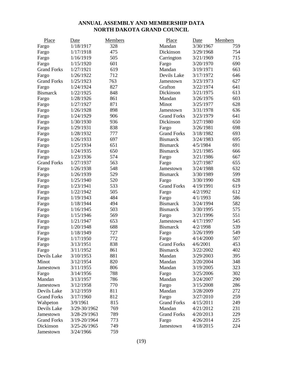## **ANNUAL ASSEMBLY AND MEMBERSHIP DATA NORTH DAKOTA GRAND COUNCIL**

| Place              | Date             | <b>Members</b> | Place              | Date      | Members |
|--------------------|------------------|----------------|--------------------|-----------|---------|
| Fargo              | 1/18/1917        | 328            | Mandan             | 3/30/1967 | 759     |
| Fargo              | 1/17/1918        | 475            | Dickinson          | 3/29/1968 | 754     |
| Fargo              | 1/16/1919        | 505            | Carrington         | 3/21/1969 | 715     |
| Fargo              | 1/15/1920        | 601            | Fargo              | 3/20/1970 | 690     |
| <b>Grand Forks</b> | 1/27/1921        | 619            | Mandan             | 3/19/1971 | 663     |
| Fargo              | 1/26/1922        | 712            | Devils Lake        | 3/17/1972 | 646     |
| <b>Grand Forks</b> | 1/25/1923        | 763            | Jamestown          | 3/23/1973 | 627     |
| Fargo              | 1/24/1924        | 827            | Grafton            | 3/22/1974 | 641     |
| <b>Bismarck</b>    | 1/22/1925        | 848            | Dickinson          | 3/21/1975 | 613     |
| Fargo              | 1/28/1926        | 861            | Mandan             | 3/26/1976 | 603     |
| Fargo              | 1/27/1927        | 871            | Minot              | 3/25/1977 | 628     |
| Fargo              | 1/26/1928        | 898            | Jamestown          | 3/31/1978 | 636     |
| Fargo              | 1/24/1929        | 906            | <b>Grand Forks</b> | 3/23/1979 | 641     |
| Fargo              | 1/30/1930        | 936            | Dickinson          | 3/27/1980 | 650     |
| Fargo              | 1/29/1931        | 838            | Fargo              | 3/26/1981 | 698     |
| Fargo              | 1/28/1932        | 777            | <b>Grand Forks</b> | 3/18/1982 | 693     |
| Fargo              | 1/26/1933        | 697            | <b>Bismarck</b>    | 3/24/1983 | 695     |
| Fargo              | 1/25/1934        | 651            | <b>Bismarck</b>    | 4/5/1984  | 691     |
| Fargo              | 1/24/1935        | 650            | <b>Bismarck</b>    | 3/21/1985 | 666     |
| Fargo              | 1/23/1936        | 574            | Fargo              | 3/21/1986 | 667     |
| <b>Grand Forks</b> | 1/27/1937        | 563            | Fargo              | 3/27/1987 | 655     |
| Fargo              | 1/26/1938        | 548            | Jamestown          | 3/24/1988 | 632     |
| Fargo              | 1/26/1939        | 529            | <b>Bismarck</b>    | 3/30/1989 | 599     |
| Fargo              | 1/25/1940        | 520            | Fargo              | 3/30/1990 | 628     |
| Fargo              | 1/23/1941        | 533            | <b>Grand Forks</b> | 4/19/1991 | 619     |
| Fargo              | 1/22/1942        | 505            | Fargo              | 4/2/1992  | 612     |
| Fargo              | 1/19/1943        | 484            | Fargo              | 4/1/1993  | 586     |
| Fargo              | 1/18/1944        | 494            | <b>Bismarck</b>    | 3/24/1994 | 582     |
| Fargo              | 1/16/1945        | 503            | <b>Bismarck</b>    | 3/30/1995 | 575     |
| Fargo              | 1/15/1946        | 569            | Fargo              | 3/21/1996 | 551     |
| Fargo              | 1/21/1947        | 653            | Jamestown          | 4/17/1997 | 545     |
| Fargo              | 1/20/1948        | 688            | <b>Bismarck</b>    | 4/2/1998  | 539     |
| Fargo              | 1/18/1949        | 727            | Fargo              | 3/26/1999 | 549     |
| Fargo              | 1/17/1950        | 772            | Fargo              | 4/14/2000 | 507     |
| Fargo              | 3/13/1951        | 838            | <b>Grand Forks</b> | 4/6/2001  | 453     |
| Fargo              | 3/11/1952        | 861            | <b>Bismarck</b>    | 3/22/2002 | 402     |
| Devils Lake        | 3/10/1953        | 881            | Mandan             | 3/29/2003 | 395     |
| Minot              | 3/12/1954        | 820            | Mandan             | 3/20/2004 | 348     |
| Jamestown          | 3/11/1955        | 806            | Mandan             | 3/19/2005 | 323     |
| Fargo              | 3/14/1956        | 788            | Fargo              | 3/25/2006 | 302     |
| Mandan             | 3/13/1957        | 786            | Mandan             | 3/24/2007 | 290     |
| Jamestown          | 3/12/1958        | 770            | Fargo              | 3/15/2008 | 286     |
| Devils Lake        | 3/12/1959        | 811            | Mandan             | 3/28/2009 | 272     |
| <b>Grand Forks</b> | 3/17/1960        | 812            | Fargo              | 3/27/2010 | 259     |
| Wahpeton           | 3/9/1961         | 815            | <b>Grand Forks</b> | 4/15/2011 | 249     |
| Devils Lake        | 3/29-30/1962     | 769            | Mandan             | 4/21/2012 | 231     |
| Jamestown          | 3/28-29/1963     | 789            | <b>Grand Forks</b> | 4/20/2013 | 229     |
| <b>Grand Forks</b> | 3/19-20/1964     | 773            | Fargo              | 4/26/2014 | 225     |
| Dickinson          | $3/25 - 26/1965$ | 749            | Jamestown          | 4/18/2015 | 224     |
| Jamestown          | 3/24/1966        | 759            |                    |           |         |
|                    |                  |                |                    |           |         |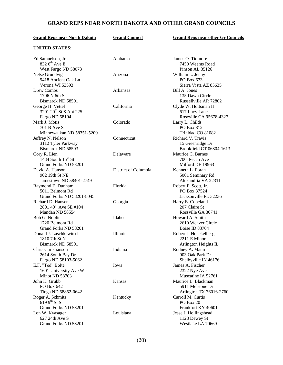## **GRAND REPS NEAR NORTH DAKOTA AND OTHER GRAND COUNCILS**

| <b>Grand Reps near North Dakota</b> | <b>Grand Council</b> | <b>Grand Reps near other Gr Councils</b> |
|-------------------------------------|----------------------|------------------------------------------|
| <b>UNITED STATES:</b>               |                      |                                          |
| Ed Samuelson, Jr.                   | Alabama              | James O. Tidmore                         |
| $8326^{\text{th}}$ Ave E            |                      | 7450 Weems Road                          |
| West Fargo ND 58078                 |                      | Pinson AL 35126                          |
| Nelse Grundvig                      | Arizona              | William L. Jenny                         |
| 9418 Ancient Oak Ln                 |                      | PO Box 673                               |
| Verona WI 53593                     |                      | Sierra Vista AZ 85635                    |
| Drew Combs                          | Arkansas             | Bill A. Jones                            |
| 1706 N 6th St                       |                      | 135 Dawn Circle                          |
| Bismarck ND 58501                   |                      | Russellville AR 72802                    |
| George H. Vettel                    | California           | Clyde W. Holtsman II                     |
| 3201 20 <sup>th</sup> St S Apt 225  |                      | 617 Lucy Lane                            |
| Fargo ND 58104                      |                      | Roseville CA 95678-4327                  |
| Mark J. Motis                       | Colorado             | Larry L. Childs                          |
| 701 B Ave S                         |                      | PO Box 812                               |
| Minnewaukan ND 58351-5200           |                      | Trinidad CO 81082                        |
| Jeffrey N. Nelson                   | Connecticut          | Richard V. Travis                        |
| 3112 Tyler Parkway                  |                      | 15 Greenridge Dr                         |
| Bismarck ND 58503                   |                      | Brookfield CT 06804-1613                 |
| Cory R. Lien                        | Delaware             | Maurice C. Barnes                        |
| 1434 South $15th$ St                |                      | 700 Pecan Ave                            |
| Grand Forks ND 58201                |                      | Milford DE 19963                         |
| David A. Hanson                     | District of Columbia | Kenneth L. Foran                         |
| 902 19th St NE                      |                      | 5001 Seminary Rd                         |
| Jamestown ND 58401-2749             |                      | Alexandria VA 22311                      |
| Raymond E. Dunham                   | Florida              | Robert F. Scott, Jr.                     |
| 5011 Belmont Rd                     |                      | PO Box 37524                             |
| Grand Forks ND 58201-8045           |                      | Jacksonville FL 32236                    |
| Richard D. Hansen                   | Georgia              | Harry E. Copeland                        |
| 2801 40 <sup>th</sup> Ave SE #104   |                      | 207 Claire St                            |
| Mandan ND 58554                     |                      | Rossville GA 30741                       |
| Bob G. Noblin                       | Idaho                | Howard A. Smith                          |
| 1720 Belmont Rd                     |                      | 2610 Weaver Circle                       |
| Grand Forks ND 58201                |                      | Boise ID 83704                           |
| Donald J. Laschkewitsch             | Illinois             | Robert J. Hoeckelberg                    |
| 1810 7th St N                       |                      | 2211 E Minor                             |
| Bismarck ND 58501                   |                      | Arlington Heights IL                     |
| Chris Christianson                  | Indiana              | Rodney A. Mann                           |
| 2614 South Bay Dr                   |                      | 903 Oak Park Dr                          |
| Fargo ND 58103-5062                 |                      | Shelbyville IN 46176                     |
| E.F. "Ted" Bolte                    | Iowa                 | James A. Fischer                         |
| 1601 University Ave W               |                      | 2322 Nye Ave                             |
| <b>Minot ND 58703</b>               |                      | Muscatine IA 52761                       |
| John K. Grubb                       | Kansas               | Maurice L. Blackman                      |
| PO Box 642                          |                      | 5911 Melstone Dr                         |
| Tioga ND 58852-0642                 |                      | Arlington TX 76016-2760                  |
| Roger A. Schmitz                    | Kentucky             | Carroll M. Curtis                        |
| 619 $9^{th}$ St S                   |                      | PO Box 20                                |
| Grand Forks ND 58201                |                      | Frankfort KY 40601                       |
| Lon W. Kvasager                     | Louisiana            | Jesse J. Hollingshead                    |
| 627 24th Ave S                      |                      | 1128 Dewey St                            |
| Grand Forks ND 58201                |                      | Westlake LA 70669                        |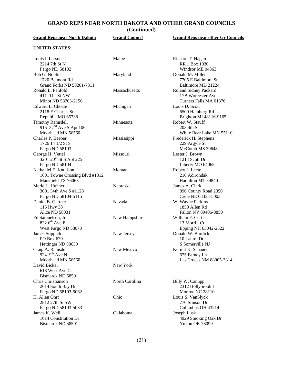## **GRAND REPS NEAR NORTH DAKOTA AND OTHER GRAND COUNCILS**

**(Continued)**

| <b>Grand Reps near North Dakota</b>                  | <b>Grand Council</b> | <b>Grand Reps near other Gr Councils</b> |
|------------------------------------------------------|----------------------|------------------------------------------|
| <b>UNITED STATES:</b>                                |                      |                                          |
| Louis I. Larson                                      | Maine                | Richard T. Hagan                         |
| 2214 7th St N                                        |                      | RR 1 Box 1930                            |
| Fargo ND 58102                                       |                      | Windsor ME 04363                         |
| Bob G. Noblin                                        | Maryland             | Donald M. Miller                         |
| 1720 Belmont Rd                                      |                      | 7705 E Baltimore St                      |
| Grand Forks ND 58201-7311                            |                      | Baltimore MD 21224                       |
| Ronald L. Penfold                                    | Massachusetts        | Roland Sidney Packard                    |
| 411 11 <sup>th</sup> St NW                           |                      | 17B Worcester Ave                        |
| Minot ND 58703-2156                                  |                      | Turners Falls MA 01376                   |
| Edward L. Choate                                     | Michigan             | Louis D. Scott                           |
| 2118 E Charles St                                    |                      | 6509 Hamburg Rd                          |
| Republic MO 65738                                    |                      | Brighton MI 48116-9165                   |
| <b>Timothy Ramsdell</b>                              | Minnesota            | Robert W. Stauff                         |
| 915 $32nd$ Ave S Apt 106                             |                      | 203 4th St                               |
| Moorhead MN 56560                                    |                      | White Bear Lake MN 55110                 |
| Charles P. Beeber                                    | Mississippi          | Frederick H. Stephens                    |
| 1726 14 1/2 St S                                     |                      | 229 Argyle St                            |
| Fargo ND 58103                                       |                      | McComb MS 39648                          |
| George H. Vettel                                     | Missouri             | Lester J. Brown                          |
| 3201 20 <sup>th</sup> St S Apt 225                   |                      | 1214 Scott Dr                            |
| Fargo ND 58104                                       |                      | Liberty MO 64068                         |
| Nathaniel E. Knudson                                 | Montana              | Robert J. Leete                          |
|                                                      |                      | 210 Adirondak                            |
| 1601 Towne Crossing Blvd #1312<br>Mansfield TX 76063 |                      | Hamilton MT 59840                        |
| Merle L. Huhner                                      | Nebraska             |                                          |
|                                                      |                      | James A. Clark                           |
| 3001 34th Ave S #1128                                |                      | 896 County Road 2350                     |
| Fargo ND 58104-5115                                  |                      | Crete NE 68333-5003                      |
| Daniel B. Gartner                                    | Nevada               | W. Wayne Perkins                         |
| 115 Hwy 38                                           |                      | 1850 Allen Rd                            |
| Alice ND 58031                                       |                      | Fallon NV 89406-8850                     |
| Ed Samuelson, Jr.                                    | New Hampshire        | William F. Curtis                        |
| 832 6 <sup>th</sup> Ave E                            |                      | 13 Morrill Ct                            |
| West Fargo ND 58078                                  |                      | Epping NH 03042-2522                     |
| James Stippich                                       | New Jersey           | Donald W. Burdick                        |
| PO Box 670                                           |                      | 10 Laurel Dr                             |
| Hettinger ND 58639                                   |                      | S Somerville NJ                          |
| Craig A. Ramsdell                                    | New Mexico           | Kermit K. Schauer                        |
| 924 $9^{th}$ Ave N                                   |                      | 675 Farney Ln                            |
| Moorhead MN 56560                                    |                      | Las Cruces NM 88005-3314                 |
| David Bickel                                         | New York             |                                          |
| 613 West Ave C                                       |                      |                                          |
| Bismarck ND 58501                                    |                      |                                          |
| Chris Christianson                                   | North Carolina       | Billy W. Canupp                          |
| 2614 South Bay Dr                                    |                      | 2312 Hollybrook Ln                       |
| Fargo ND 58103-5062                                  |                      | Monroe NC 28110                          |
| H. Allen Ohrt                                        | Ohio                 | Louis S. VanSlyck                        |
| 2812 27th St SW                                      |                      | 770 Stinson Dr                           |
| Fargo ND 58103-5033                                  |                      | Columbus OH 43214                        |
| James K. Well                                        | Oklahoma             | Joseph Lusk                              |
| 1014 Constitution Dr                                 |                      | 4929 Smoking Oak Dr                      |
| Bismarck ND 58501                                    |                      | Yukon OK 73099                           |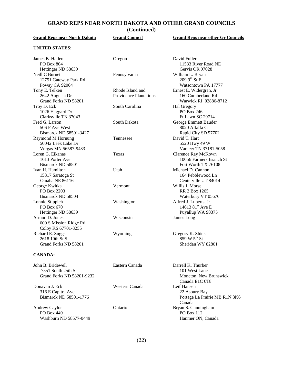## **GRAND REPS NEAR NORTH DAKOTA AND OTHER GRAND COUNCILS**

**(Continued)**

| <b>Grand Reps near North Dakota</b>                                         | <b>Grand Council</b>                              | <b>Grand Reps near other Gr Councils</b>                                                      |
|-----------------------------------------------------------------------------|---------------------------------------------------|-----------------------------------------------------------------------------------------------|
| <b>UNITED STATES:</b>                                                       |                                                   |                                                                                               |
| James B. Hallen<br>PO Box 804                                               | Oregon                                            | David Fuller<br>11533 River Road NE                                                           |
| Hettinger ND 58639<br>Neill C Burnett<br>12751 Gateway Park Rd              | Pennsylvania                                      | Gervis OR 97028<br>William L. Bryan<br>$2099^{th}$ St E                                       |
| Poway CA 92064<br>Tony E. Telken<br>2642 Augusta Dr<br>Grand Forks ND 58201 | Rhode Island and<br><b>Providence Plantations</b> | Watsontown PA 17777<br>Ernest E. Widergren, Jr.<br>160 Cumberland Rd<br>Warwick RI 02886-8712 |
| Troy D. Eck<br>1026 Haggard Dr<br>Clarksville TN 37043                      | South Carolina                                    | Hal Gregory<br>PO Box 246<br>Ft Lawn SC 29714                                                 |
| Fred G. Larson<br>506 F Ave West<br>Bismarck ND 58501-3427                  | South Dakota                                      | George Emmett Bauder<br>8020 Alfalfa Ct<br>Rapid City SD 57702                                |
| Raymond M Hornung<br>50042 Leek Lake Dr<br>Vergas MN 56587-9433             | Tennessee                                         | David T. Hart<br>5520 Hwy 49 W<br>Vanleer TN 37181-5058                                       |
| Loren G. Eikanas<br>1613 Porter Ave<br>Bismarck ND 58501                    | Texas                                             | Clarence Ray McKown<br>10056 Farmers Branch St<br>Fort Worth TX 76108                         |
| Ivan H. Hamilton<br>15317 Saratoga St<br>Omaha NE 86116                     | Utah                                              | Michael D. Cannon<br>164 Pebblewood Ln<br>Centerville UT 84014                                |
| George Kwitka<br>PO Box 2203<br>Bismarck ND 58504                           | Vermont                                           | Willis J. Morse<br><b>RR 2 Box 1265</b><br>Waterbury VT 05676                                 |
| Lonnie Stippich<br>PO Box 670<br>Hettinger ND 58639                         | Washington                                        | Alfred J. Luberts, Jr.<br>14613 $81^{\rm st}$ Ave E<br>Puyallup WA 98375                      |
| Armun D. Jones<br>600 S Mission Ridge Rd<br>Colby KS 67701-3255             | Wisconsin                                         | James Long                                                                                    |
| Richard E. Suggs<br>2618 10th St S<br>Grand Forks ND 58201                  | Wyoming                                           | Gregory K. Shiek<br>859 W 5 <sup>th</sup> St<br>Sheridan WY 82801                             |
| <b>CANADA:</b>                                                              |                                                   |                                                                                               |
| John B. Bridewell<br>7551 South 25th St<br>Grand Forks ND 58201-9232        | Eastern Canada                                    | Darrell K. Thurber<br>101 West Lane<br>Moncton, New Brunswick<br>Canada E1C 6T8               |
| Donavan J. Eck<br>316 E Capitol Ave<br>Bismarck ND 58501-1776               | Western Canada                                    | Leif Hansen<br>22 Asbury Bay<br>Portage La Prairie MB R1N 3K6<br>Canada                       |
| Andrew Caylor<br>PO Box 449<br>Washburn ND 58577-0449                       | Ontario                                           | Bryan S. Cunningham<br>PO Box 112<br>Hanmer ON, Canada                                        |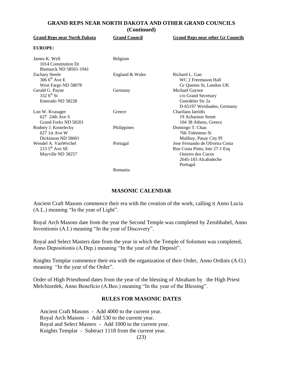#### **GRAND REPS NEAR NORTH DAKOTA AND OTHER GRAND COUNCILS (Continued)**

| <b>Grand Reps near North Dakota</b>                                    | <b>Grand Council</b> | <b>Grand Reps near other Gr Councils</b>                                                                                   |
|------------------------------------------------------------------------|----------------------|----------------------------------------------------------------------------------------------------------------------------|
| <b>EUROPE:</b>                                                         |                      |                                                                                                                            |
| James K. Well<br>1014 Constitution Dr<br>Bismarck ND 58501-1941        | Belgium              |                                                                                                                            |
| <b>Zachary Steele</b><br>306 $6^{th}$ Ave E<br>West Fargo ND 58078     | England & Wales      | Richard L. Gan<br>WC 2 Freemason Hall<br>Gr Queens St, London UK                                                           |
| Gerald G. Payne<br>332 $6^{th}$ St<br>Emerado ND 58228                 | Germany              | Michael Gaynor<br>c/o Grand Secretary<br>Goerdeler Str 2a<br>D-65197 Weisbaden, Germany                                    |
| Lon W. Kvasager<br>627 24th Ave S<br>Grand Forks ND 58201              | Greece               | Charilaos Iatridis<br>19 Acharnon Street<br>104 38 Athens, Greece                                                          |
| Rodney J. Kostelecky<br>$627$ 1st Ave W<br>Dickinson ND 58601          | Philippines          | Domingo T. Chau<br>766 Tolenteno St<br>Malibay, Pasay City PI                                                              |
| Wendel A. VanWechel<br>213 $5^{\text{th}}$ Ave SE<br>Mayville ND 58257 | Portugal             | Jose Fernando de Oliveira Costa<br>Rue Costa Pinto, lote 27-1 Esq<br>Outeiro dos Cucos<br>2645-183 Alcabideche<br>Portugal |
|                                                                        | $D$ americ           |                                                                                                                            |

Romania

#### **MASONIC CALENDAR**

Ancient Craft Masons commence their era with the creation of the work, calling it Anno Lucia (A.L.) meaning "In the year of Light".

Royal Arch Masons date from the year the Second Temple was completed by Zerubbabel, Anno Inventionis (A.I.) meaning "In the year of Discovery".

Royal and Select Masters date from the year in which the Temple of Solomon was completed, Anno Depositionis (A.Dep.) meaning "In the year of the Deposit".

Knights Templar commence their era with the organization of their Order, Anno Ordinis (A.O.) meaning "In the year of the Order".

Order of High Priesthood dates from the year of the blessing of Abraham by the High Priest Melchizedek, Anno Beneficio (A.Beo.) meaning "In the year of the Blessing".

#### **RULES FOR MASONIC DATES**

Ancient Craft Masons - Add 4000 to the current year. Royal Arch Masons - Add 530 to the current year. Royal and Select Masters - Add 1000 to the current year. Knights Templar - Subtract 1118 from the current year.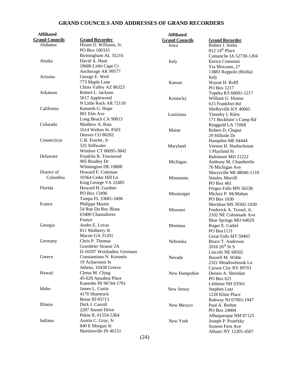## **GRAND COUNCILS AND ADDRESSES OF GRAND RECORDERS**

| <b>Affiliated</b>     |                            | <b>Affiliated</b>     |                            |
|-----------------------|----------------------------|-----------------------|----------------------------|
| <b>Grand Councils</b> | <b>Grand Recorder</b>      | <b>Grand Councils</b> | <b>Grand Recorder</b>      |
| Alabama               | Hiram O. Williams, Jr.     | Iowa                  | Robert J. Seiler           |
|                       | PO Box 100333              |                       | 812 14 <sup>th</sup> Place |
|                       | Birmingham AL 35210        |                       | Camanche IA 52730-1204     |
| Alaska                | David A. Hunt              | Italy                 | Enrico Consonni            |
|                       | 18606 Little Cape Cr       |                       | Via Morzano, 27            |
|                       | Anchorage AK 99577         |                       | 13883 Roppolo (Biella)     |
| Arizona               | George E. Weil             |                       | Italy                      |
|                       | 773 Maple Lane             | Kansas                | Wayne H. Rolff             |
|                       | Chino Valley AZ 86323      |                       | PO Box 1217                |
| Arkansas              | Robert L. Jackson          |                       | Topeka KS 66601-1217       |
|                       | 5617 Applewood             | Kentucky              | William G. Hinton          |
|                       | N Little Rock AR 72118     |                       | 615 Frankfort Rd           |
| California            | Kenneth G. Hope            |                       |                            |
|                       | 801 Elm Ave                | Louisiana             | Shelbyville KY 40065       |
|                       | Long Beach CA 90813        |                       | Timothy J. Riley           |
| Colorado              | Matthew A. Raia            |                       | 171 Beckham's Camp Rd      |
|                       |                            |                       | Ringgold LA 71068          |
|                       | 1614 Welton St. #503       | Maine                 | Robert D. Chaput           |
|                       | Denver CO 80202            |                       | 29 Hillside Dr             |
| Connecticut           | C.B. Fowler, Jr            |                       | Hampden ME 04444           |
|                       | 525 Stillwater             | Maryland              | Vernon H. Huebschman       |
|                       | Windsor CT 06095-3842      |                       | 1 Playfield St             |
| Delaware              | Franklin R. Townsend       |                       | Baltimore MD 21222         |
|                       | 905 Bradley Dr             | Michigan              | Anthony M. Chamberlin      |
|                       | Wilmington DE 19808        |                       | 76 Michigan Ave            |
| District of           | Howard F. Coleman          |                       | Marysville MI 48040-1110   |
| Columbia              | 10364 Cedar Hill Ln        | Minnesota             | <b>Stanley Morrill</b>     |
|                       | King George VA 22485       |                       | PO Box 401                 |
| Florida               | Howard H. Gardner          |                       | Fergus Falls MN 56538      |
|                       | PO Box 13496               | Mississippi           | Mickey P. McMahan          |
|                       | Tampa FL 33681-3496        |                       | PO Box 1030                |
| France                | Philippe Martin            |                       | Meridian MS 39302-1030     |
|                       | 54 Rue Du Roc Blanc        | Missouri              | Frederick A. Troxel, Jr.   |
|                       | 63400 Chamalieres          |                       | 2102 NE Colonnade Ave      |
|                       | France                     |                       | Blue Springs MO 64029      |
| Georgia               | Andre E. Lovas             | Montana               | Roger E. Cathel            |
|                       | 811 Mulberry St            |                       | PO Box1131                 |
|                       | Macon GA 31201             |                       | Great Falls MT 59403       |
| Germany               | Chris P. Thomas            | Nebraska              | Bruce T. Anderson          |
|                       | Goerdeler Strasse 2A       |                       | $2010\,26^{th}$ St S       |
|                       | D-16597 Weisbaden, Germany |                       | Lincoln NE 68502           |
| Greece                | Constantinos N. Korontis   | Nevada                | Russell M. Wilde           |
|                       | 19 Acharonon St            |                       | 2321 Meadowbrook Ln        |
|                       | Athens, 10438 Greece       |                       | Carson City NV 89701       |
| Hawaii                | Cletus M. Ching            | New Hampshire         | Dennis A. Sheridan         |
|                       | 45-628 Apuakea Place       |                       | PO Box 621                 |
|                       | Kaneohe HI 96744-1701      |                       | Littleton NH 03561         |
| Idaho                 | James L. Curtis            | New Jersey            | Stephen Lutz               |
|                       | 4170 Shamrock              |                       | 1228 Kline Place           |
|                       | Boise ID 83713             |                       | Rahway NJ 07065-1947       |
| <b>Illinois</b>       | Dick J. Carroll            | New Mexico            | Paul A. Brehm              |
|                       | 2207 Sunset Drive          |                       | PO Box 24004               |
|                       | Pekin IL 61554-5364        |                       |                            |
| Indiana               | Austin C. Gray, Jr.        | New York              | Albuquerque NM 87125       |
|                       | 840 E Morgan St            |                       | Joseph P. Pozefsky         |
|                       | Martinsville IN 46151      |                       | Sixteen Fern Ave           |
|                       | (0, 1)                     |                       | Albany NY 12205-4507       |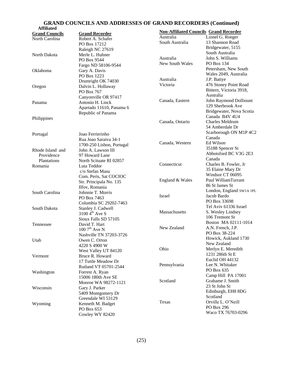#### **GRAND COUNCILS AND ADDRESSES OF GRAND RECORDERS (Continued)**

| <b>Affiliated</b>     |                             |                 |                                               |
|-----------------------|-----------------------------|-----------------|-----------------------------------------------|
| <b>Grand Councils</b> | <b>Grand Recorder</b>       | Australia       | <b>Non-Affiliated Councils Grand Recorder</b> |
| North Carolina        | Robert A. Schafer           | South Australia | Lionel G. Roeger                              |
|                       | PO Box 17212                |                 | 13 Shannon Road                               |
|                       | Raleigh NC 27619            |                 | Bridgewater, 5155                             |
| North Dakota          | Merle L. Huhner             |                 | South Australia                               |
|                       | PO Box 9544                 | Australia       | John S. Williams                              |
|                       | Fargo ND 58106-9544         | New South Wales | PO Box 134                                    |
| Oklahoma              | Gary A. Davis               |                 | Petersham, New South                          |
|                       | PO Box 1223                 |                 | Wales 2049, Australia                         |
|                       | Drumright OK 74030          | Australia       | J.P. Battye                                   |
| Oregon                | Dalvin L. Hollaway          | Victoria        | 476 Stoney Point Road                         |
|                       | PO Box 767                  |                 | Bittern, Victoria 3918,                       |
|                       | Canyonville OR 97417        |                 | Australia                                     |
| Panama                | Antonio H. Linck            | Canada, Eastern | John Raymond Dolliount                        |
|                       | Apartado 11610, Panama 6    |                 | 129 Sherbrook Ave                             |
|                       | Republic of Panama          |                 | Bridgewater, Nova Scotia                      |
| Philippines           |                             |                 | Canada B4V 4U4                                |
|                       |                             | Canada, Ontario | <b>Charles Meldrum</b>                        |
|                       |                             |                 | 54 Amberdale Dr                               |
|                       | Joao Ferrierinho            |                 | Scarborough ON M1P 4C2                        |
| Portugal              |                             |                 | Canada                                        |
|                       | Rua Joao Saraiva 34-1       | Canada, Western | Ed Wilson                                     |
|                       | 1700-250 Lisbon, Portugal   |                 | 35188 Spencer St                              |
| Rhode Island and      | John A. Lawson III          |                 | Abbotsford BC V3G 2E3                         |
| Providence            | 97 Howard Lane              |                 | Canada                                        |
| Plantations           | North Scituate RI 02857     | Connecticut     | Charles B. Fowler, Jr                         |
| Romania               | Luta Teddor                 |                 | 35 Elaine Mary Dr                             |
|                       | c/o Stefan Masu             |                 | Windsor CT 06095                              |
|                       | Com. Peris, Sat COCIOC      |                 | Paul WilliamTurrant                           |
|                       | Str. Principala No. 135     | England & Wales | 86 St James St                                |
|                       | Ilfov, Romania              |                 |                                               |
| South Carolina        | Johnnie T. Morris           |                 | London, England SW1A 1PL                      |
|                       | PO Box 7463                 | Israel          | Jacob Bardo                                   |
|                       | Columbia SC 29202-7463      |                 | PO Box 33698                                  |
| South Dakota          | Stanley J. Cadwell          |                 | Tel Aviv 61336 Israel                         |
|                       | $3100\,4^{\text{th}}$ Ave S | Massachusetts   | S. Wesley Lindsey                             |
|                       | Sioux Falls SD 57105        |                 | 106 Tremont St                                |
| Tennessee             | David T. Hart               |                 | Boston MA 02111-1014                          |
|                       | $1007^{\text{th}}$ Ave N    | New Zealand     | A.N. French, J.P.                             |
|                       | Nashville TN 37203-3726     |                 | PO Box 38-224                                 |
| Utah                  | Owen C. Orton               |                 | Howick, Aukland 1730                          |
|                       | 4220 S 4900 W               |                 | New Zealand                                   |
|                       | West Valley UT 84120        | Ohio            | Merlyn E. Meredith                            |
| Vermont               | Bruce R. Howard             |                 | 1231 286th St E                               |
|                       | 17 Tuttle Meadow Dr         |                 | Euclid OH 44132                               |
|                       | Rutland VT 05701-2544       | Pennsylvania    | Lee N. Whitaker                               |
| Washington            | Forrest A. Ryan             |                 | PO Box 635                                    |
|                       | 15006 180th Ave SE          |                 | Camp Hill PA 17001                            |
|                       |                             | Scotland        | Grahame J. Smith                              |
| Wisconsin             | Monroe WA 98272-1121        |                 | 23 St John St                                 |
|                       | Gary J. Parker              |                 | Edinburgh, EH8 8DG                            |
|                       | 5409 Montgomery Dr          |                 | Scotland                                      |
|                       | Greendale WI 53129          | Texas           | Orville L. O'Neill                            |
| Wyoming               | Kenneth M. Badget           |                 | PO Box 296                                    |
|                       | PO Box 653                  |                 | Waco TX 76703-0296                            |
|                       | Cowley WY 82420             |                 |                                               |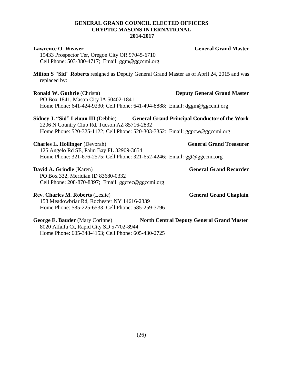### **GENERAL GRAND COUNCIL ELECTED OFFICERS CRYPTIC MASONS INTERNATIONAL 2014-2017**

| <b>Lawrence O. Weaver</b><br>19433 Prospector Ter, Oregon City OR 97045-6710<br>Cell Phone: 503-380-4717; Email: ggm@ggccmi.org                                | <b>General Grand Master</b>                                                                 |
|----------------------------------------------------------------------------------------------------------------------------------------------------------------|---------------------------------------------------------------------------------------------|
| replaced by:                                                                                                                                                   | Milton S "Sid" Roberts resigned as Deputy General Grand Master as of April 24, 2015 and was |
| <b>Ronald W. Guthrie (Christa)</b><br>PO Box 1841, Mason City IA 50402-1841                                                                                    | <b>Deputy General Grand Master</b>                                                          |
| Home Phone: 641-424-9230; Cell Phone: 641-494-8888; Email: dggm@ggccmi.org                                                                                     |                                                                                             |
| 2206 N Country Club Rd, Tucson AZ 85716-2832<br>Home Phone: 520-325-1122; Cell Phone: 520-303-3352: Email: ggpcw@ggccmi.org                                    | Sidney J. "Sid" Lelaun III (Debbie) General Grand Principal Conductor of the Work           |
|                                                                                                                                                                | <b>General Grand Treasurer</b>                                                              |
| <b>Charles L. Hollinger (Devorah)</b><br>125 Angelo Rd SE, Palm Bay FL 32909-3654<br>Home Phone: 321-676-2575; Cell Phone: 321-652-4246; Email: ggt@ggccmi.org |                                                                                             |
| David A. Grindle (Karen)<br>PO Box 332, Meridian ID 83680-0332<br>Cell Phone: 208-870-8397; Email: ggcrec@ggccmi.org                                           | <b>General Grand Recorder</b>                                                               |
| <b>Rev. Charles M. Roberts (Leslie)</b><br>158 Meadowbriar Rd, Rochester NY 14616-2339<br>Home Phone: 585-225-6533; Cell Phone: 585-259-3796                   | <b>General Grand Chaplain</b>                                                               |
| George E. Bauder (Mary Corinne)                                                                                                                                | <b>North Central Deputy General Grand Master</b>                                            |

8020 Alfalfa Ct, Rapid City SD 57702-8944 Home Phone: 605-348-4153; Cell Phone: 605-430-2725